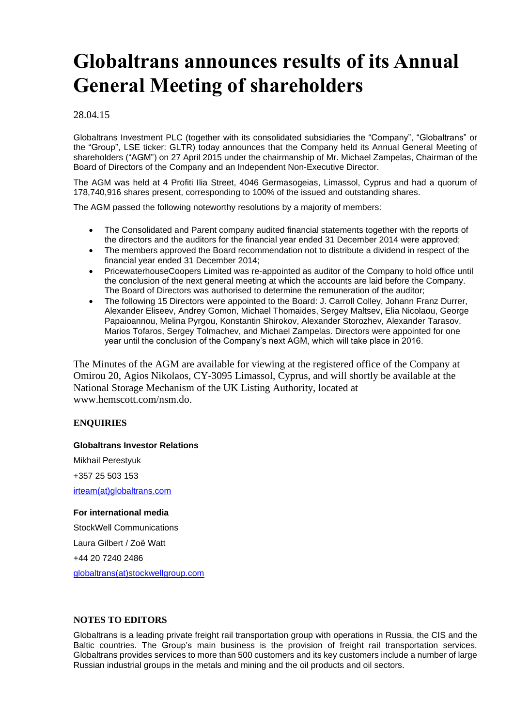# **Globaltrans announces results of its Annual General Meeting of shareholders**

### 28.04.15

Globaltrans Investment PLC (together with its consolidated subsidiaries the "Company", "Globaltrans" or the "Group", LSE ticker: GLTR) today announces that the Company held its Annual General Meeting of shareholders ("AGM") on 27 April 2015 under the chairmanship of Mr. Michael Zampelas, Chairman of the Board of Directors of the Company and an Independent Non-Executive Director.

The AGM was held at 4 Profiti Ilia Street, 4046 Germasogeias, Limassol, Cyprus and had a quorum of 178,740,916 shares present, corresponding to 100% of the issued and outstanding shares.

The AGM passed the following noteworthy resolutions by a majority of members:

- The Consolidated and Parent company audited financial statements together with the reports of the directors and the auditors for the financial year ended 31 December 2014 were approved;
- The members approved the Board recommendation not to distribute a dividend in respect of the financial year ended 31 December 2014;
- PricewaterhouseCoopers Limited was re-appointed as auditor of the Company to hold office until the conclusion of the next general meeting at which the accounts are laid before the Company. The Board of Directors was authorised to determine the remuneration of the auditor;
- The following 15 Directors were appointed to the Board: J. Carroll Colley, Johann Franz Durrer, Alexander Eliseev, Andrey Gomon, Michael Thomaides, Sergey Maltsev, Elia Nicolaou, George Papaioannou, Melina Pyrgou, Konstantin Shirokov, Alexander Storozhev, Alexander Tarasov, Marios Tofaros, Sergey Tolmachev, and Michael Zampelas. Directors were appointed for one year until the conclusion of the Company's next AGM, which will take place in 2016.

The Minutes of the AGM are available for viewing at the registered office of the Company at Omirou 20, Agios Nikolaos, CY-3095 Limassol, Cyprus, and will shortly be available at the National Storage Mechanism of the UK Listing Authority, located at www.hemscott.com/nsm.do.

#### **ENQUIRIES**

#### **Globaltrans Investor Relations**

Mikhail Perestyuk +357 25 503 153 [irteam\(at\)globaltrans.com](mailto:irteam@globaltrans.com)

#### **For international media**

StockWell Communications Laura Gilbert / Zoë Watt +44 20 7240 2486 [globaltrans\(at\)stockwellgroup.com](mailto:globaltrans@stockwellgroup.com)

#### **NOTES TO EDITORS**

Globaltrans is a leading private freight rail transportation group with operations in Russia, the CIS and the Baltic countries. The Group's main business is the provision of freight rail transportation services. Globaltrans provides services to more than 500 customers and its key customers include a number of large Russian industrial groups in the metals and mining and the oil products and oil sectors.